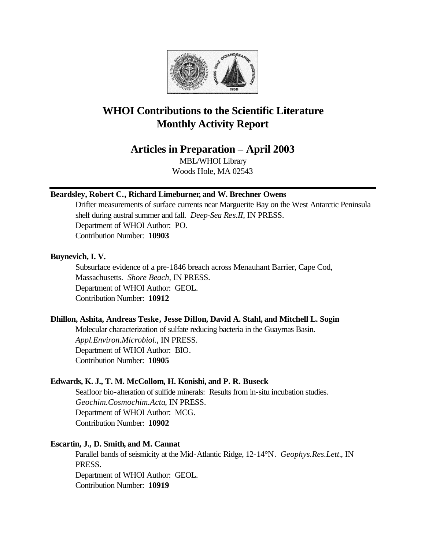

# **WHOI Contributions to the Scientific Literature Monthly Activity Report**

## **Articles in Preparation – April 2003**

MBL/WHOI Library Woods Hole, MA 02543

## **Beardsley, Robert C., Richard Limeburner, and W. Brechner Owens**

Drifter measurements of surface currents near Marguerite Bay on the West Antarctic Peninsula shelf during austral summer and fall. *Deep-Sea Res.II*, IN PRESS. Department of WHOI Author: PO. Contribution Number: **10903**

## **Buynevich, I. V.**

Subsurface evidence of a pre-1846 breach across Menauhant Barrier, Cape Cod, Massachusetts. *Shore Beach*, IN PRESS. Department of WHOI Author: GEOL. Contribution Number: **10912**

## **Dhillon, Ashita, Andreas Teske, Jesse Dillon, David A. Stahl, and Mitchell L. Sogin**

Molecular characterization of sulfate reducing bacteria in the Guaymas Basin. *Appl.Environ.Microbiol.*, IN PRESS. Department of WHOI Author: BIO. Contribution Number: **10905**

## **Edwards, K. J., T. M. McCollom, H. Konishi, and P. R. Buseck**

Seafloor bio-alteration of sulfide minerals: Results from in-situ incubation studies. *Geochim.Cosmochim.Acta*, IN PRESS. Department of WHOI Author: MCG. Contribution Number: **10902**

## **Escartin, J., D. Smith, and M. Cannat**

Parallel bands of seismicity at the Mid-Atlantic Ridge, 12-14°N. *Geophys.Res.Lett.*, IN PRESS. Department of WHOI Author: GEOL. Contribution Number: **10919**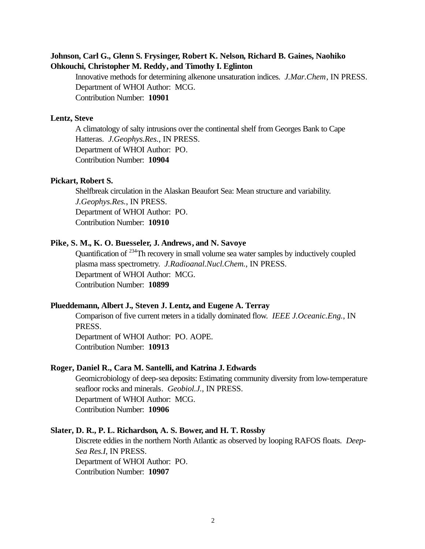## **Johnson, Carl G., Glenn S. Frysinger, Robert K. Nelson, Richard B. Gaines, Naohiko Ohkouchi, Christopher M. Reddy, and Timothy I. Eglinton**

Innovative methods for determining alkenone unsaturation indices. *J.Mar.Chem*, IN PRESS. Department of WHOI Author: MCG. Contribution Number: **10901**

#### **Lentz, Steve**

A climatology of salty intrusions over the continental shelf from Georges Bank to Cape Hatteras. *J.Geophys.Res.*, IN PRESS. Department of WHOI Author: PO. Contribution Number: **10904**

#### **Pickart, Robert S.**

Shelfbreak circulation in the Alaskan Beaufort Sea: Mean structure and variability. *J.Geophys.Res.*, IN PRESS. Department of WHOI Author: PO. Contribution Number: **10910**

#### **Pike, S. M., K. O. Buesseler, J. Andrews, and N. Savoye**

Quantification of <sup>234</sup>Th recovery in small volume sea water samples by inductively coupled plasma mass spectrometry. *J.Radioanal.Nucl.Chem.*, IN PRESS. Department of WHOI Author: MCG. Contribution Number: **10899**

#### **Plueddemann, Albert J., Steven J. Lentz, and Eugene A. Terray**

Comparison of five current meters in a tidally dominated flow. *IEEE J.Oceanic.Eng.*, IN PRESS.

Department of WHOI Author: PO. AOPE. Contribution Number: **10913**

#### **Roger, Daniel R., Cara M. Santelli, and Katrina J. Edwards**

Geomicrobiology of deep-sea deposits: Estimating community diversity from low-temperature seafloor rocks and minerals. *Geobiol.J.*, IN PRESS. Department of WHOI Author: MCG. Contribution Number: **10906**

## **Slater, D. R., P. L. Richardson, A. S. Bower, and H. T. Rossby**

Discrete eddies in the northern North Atlantic as observed by looping RAFOS floats. *Deep-Sea Res.I*, IN PRESS. Department of WHOI Author: PO. Contribution Number: **10907**